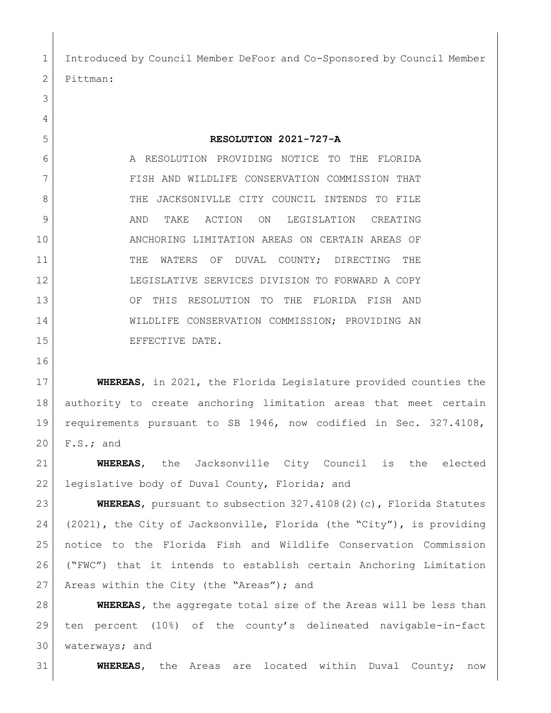Introduced by Council Member DeFoor and Co-Sponsored by Council Member Pittman:

## **RESOLUTION 2021-727-A**

6 A RESOLUTION PROVIDING NOTICE TO THE FLORIDA FISH AND WILDLIFE CONSERVATION COMMISSION THAT 8 THE JACKSONIVLLE CITY COUNCIL INTENDS TO FILE 9 AND TAKE ACTION ON LEGISLATION CREATING ANCHORING LIMITATION AREAS ON CERTAIN AREAS OF 11 THE WATERS OF DUVAL COUNTY; DIRECTING THE LEGISLATIVE SERVICES DIVISION TO FORWARD A COPY OF THIS RESOLUTION TO THE FLORIDA FISH AND WILDLIFE CONSERVATION COMMISSION; PROVIDING AN 15 EFFECTIVE DATE.

 **WHEREAS**, in 2021, the Florida Legislature provided counties the authority to create anchoring limitation areas that meet certain requirements pursuant to SB 1946, now codified in Sec. 327.4108, F.S.; and

 **WHEREAS**, the Jacksonville City Council is the elected 22 legislative body of Duval County, Florida; and

 **WHEREAS**, pursuant to subsection 327.4108(2)(c), Florida Statutes (2021), the City of Jacksonville, Florida (the "City"), is providing notice to the Florida Fish and Wildlife Conservation Commission ("FWC") that it intends to establish certain Anchoring Limitation 27 Areas within the City (the "Areas"); and

 **WHEREAS,** the aggregate total size of the Areas will be less than ten percent (10%) of the county's delineated navigable-in-fact waterways; and

**WHEREAS**, the Areas are located within Duval County; now